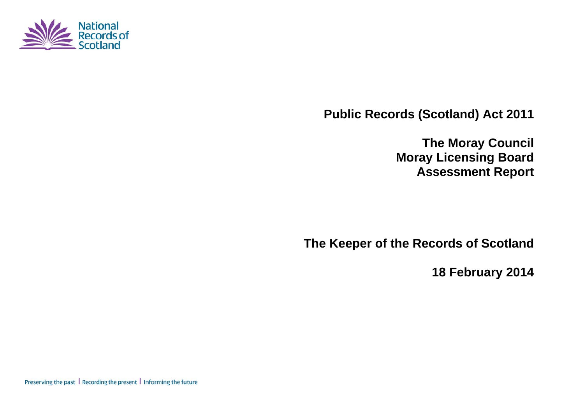

**Public Records (Scotland) Act 2011** 

**The Moray Council Moray Licensing Board Assessment Report** 

**The Keeper of the Records of Scotland** 

**18 February 2014** 

Preserving the past | Recording the present | Informing the future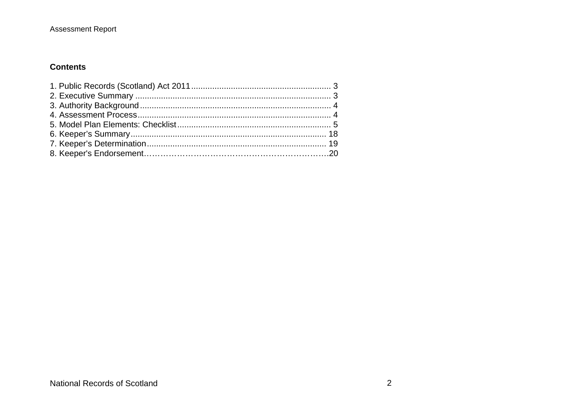## **Contents**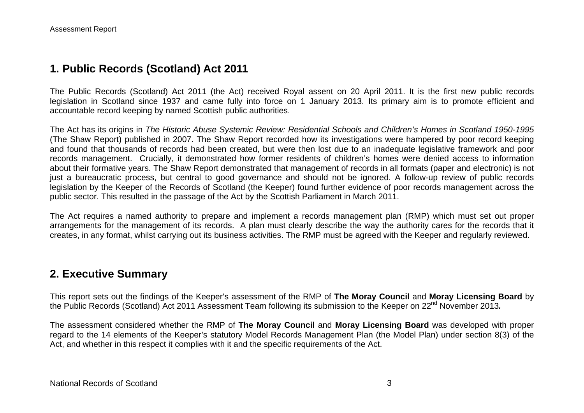# **1. Public Records (Scotland) Act 2011**

The Public Records (Scotland) Act 2011 (the Act) received Royal assent on 20 April 2011. It is the first new public records legislation in Scotland since 1937 and came fully into force on 1 January 2013. Its primary aim is to promote efficient and accountable record keeping by named Scottish public authorities.

The Act has its origins in *The Historic Abuse Systemic Review: Residential Schools and Children's Homes in Scotland 1950-1995* (The Shaw Report) published in 2007. The Shaw Report recorded how its investigations were hampered by poor record keeping and found that thousands of records had been created, but were then lost due to an inadequate legislative framework and poor records management. Crucially, it demonstrated how former residents of children's homes were denied access to information about their formative years. The Shaw Report demonstrated that management of records in all formats (paper and electronic) is not just a bureaucratic process, but central to good governance and should not be ignored. A follow-up review of public records legislation by the Keeper of the Records of Scotland (the Keeper) found further evidence of poor records management across the public sector. This resulted in the passage of the Act by the Scottish Parliament in March 2011.

The Act requires a named authority to prepare and implement a records management plan (RMP) which must set out proper arrangements for the management of its records. A plan must clearly describe the way the authority cares for the records that it creates, in any format, whilst carrying out its business activities. The RMP must be agreed with the Keeper and regularly reviewed.

## **2. Executive Summary**

This report sets out the findings of the Keeper's assessment of the RMP of **The Moray Council** and **Moray Licensing Board** by the Public Records (Scotland) Act 2011 Assessment Team following its submission to the Keeper on 22<sup>nd</sup> November 2013.

The assessment considered whether the RMP of **The Moray Council** and **Moray Licensing Board** was developed with proper regard to the 14 elements of the Keeper's statutory Model Records Management Plan (the Model Plan) under section 8(3) of the Act, and whether in this respect it complies with it and the specific requirements of the Act.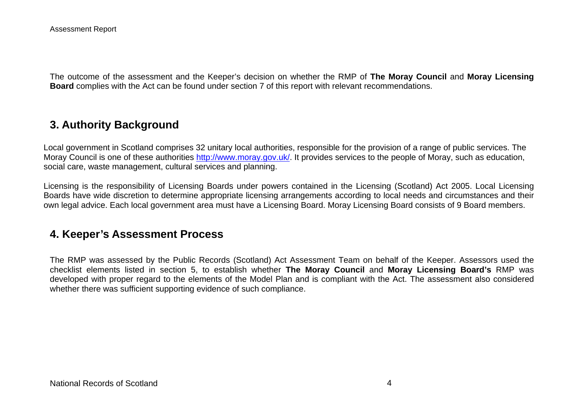The outcome of the assessment and the Keeper's decision on whether the RMP of **The Moray Council** and **Moray Licensing Board** complies with the Act can be found under section 7 of this report with relevant recommendations.

# **3. Authority Background**

Local government in Scotland comprises 32 unitary local authorities, responsible for the provision of a range of public services. The Moray Council is one of these authorities http://www.moray.gov.uk/. It provides services to the people of Moray, such as education, social care, waste management, cultural services and planning.

Licensing is the responsibility of Licensing Boards under powers contained in the Licensing (Scotland) Act 2005. Local Licensing Boards have wide discretion to determine appropriate licensing arrangements according to local needs and circumstances and their own legal advice. Each local government area must have a Licensing Board. Moray Licensing Board consists of 9 Board members.

## **4. Keeper's Assessment Process**

The RMP was assessed by the Public Records (Scotland) Act Assessment Team on behalf of the Keeper. Assessors used the checklist elements listed in section 5, to establish whether **The Moray Council** and **Moray Licensing Board's** RMP was developed with proper regard to the elements of the Model Plan and is compliant with the Act. The assessment also considered whether there was sufficient supporting evidence of such compliance.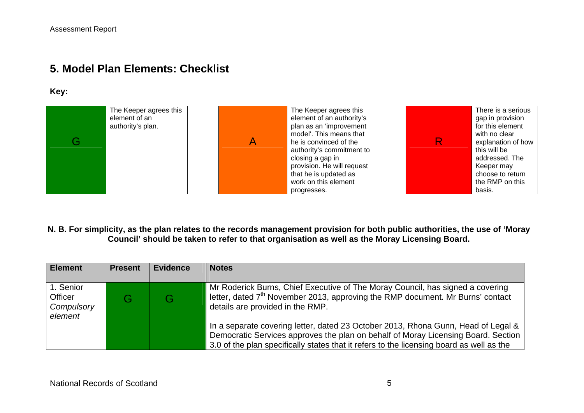# **5. Model Plan Elements: Checklist**

#### **Key:**

| G. | The Keeper agrees this<br>element of an<br>authority's plan. | A | The Keeper agrees this<br>element of an authority's<br>plan as an 'improvement<br>model'. This means that<br>he is convinced of the<br>authority's commitment to<br>closing a gap in<br>provision. He will request<br>that he is updated as | R. | There is a serious<br>gap in provision<br>for this element<br>with no clear<br>explanation of how<br>this will be<br>addressed. The<br>Keeper may<br>choose to return |
|----|--------------------------------------------------------------|---|---------------------------------------------------------------------------------------------------------------------------------------------------------------------------------------------------------------------------------------------|----|-----------------------------------------------------------------------------------------------------------------------------------------------------------------------|
|    |                                                              |   | work on this element<br>progresses.                                                                                                                                                                                                         |    | the RMP on this<br>basis.                                                                                                                                             |

#### **N. B. For simplicity, as the plan relates to the records management provision for both public authorities, the use of 'Moray Council' should be taken to refer to that organisation as well as the Moray Licensing Board.**

| <b>Element</b>                                       | <b>Present</b> | <b>Evidence</b> | <b>Notes</b>                                                                                                                                                                                                                                                       |
|------------------------------------------------------|----------------|-----------------|--------------------------------------------------------------------------------------------------------------------------------------------------------------------------------------------------------------------------------------------------------------------|
| 1. Senior<br><b>Officer</b><br>Compulsory<br>element |                |                 | Mr Roderick Burns, Chief Executive of The Moray Council, has signed a covering<br>letter, dated 7 <sup>th</sup> November 2013, approving the RMP document. Mr Burns' contact<br>details are provided in the RMP.                                                   |
|                                                      |                |                 | In a separate covering letter, dated 23 October 2013, Rhona Gunn, Head of Legal &<br>Democratic Services approves the plan on behalf of Moray Licensing Board. Section<br>3.0 of the plan specifically states that it refers to the licensing board as well as the |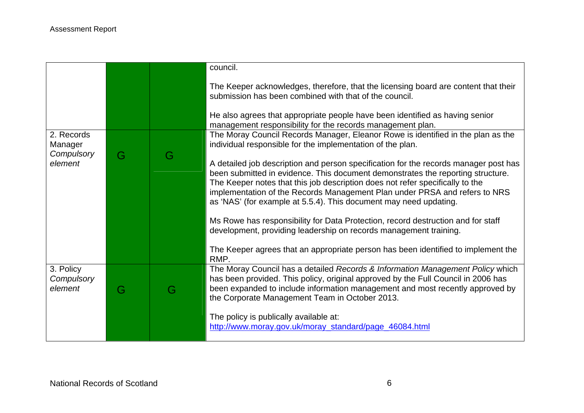|                                     |   |   | council.                                                                                                                                                                                                                                                                                                                                                                                                    |
|-------------------------------------|---|---|-------------------------------------------------------------------------------------------------------------------------------------------------------------------------------------------------------------------------------------------------------------------------------------------------------------------------------------------------------------------------------------------------------------|
|                                     |   |   | The Keeper acknowledges, therefore, that the licensing board are content that their<br>submission has been combined with that of the council.                                                                                                                                                                                                                                                               |
|                                     |   |   | He also agrees that appropriate people have been identified as having senior<br>management responsibility for the records management plan.                                                                                                                                                                                                                                                                  |
| 2. Records<br>Manager<br>Compulsory |   |   | The Moray Council Records Manager, Eleanor Rowe is identified in the plan as the<br>individual responsible for the implementation of the plan.                                                                                                                                                                                                                                                              |
| element                             | G | G | A detailed job description and person specification for the records manager post has<br>been submitted in evidence. This document demonstrates the reporting structure.<br>The Keeper notes that this job description does not refer specifically to the<br>implementation of the Records Management Plan under PRSA and refers to NRS<br>as 'NAS' (for example at 5.5.4). This document may need updating. |
|                                     |   |   | Ms Rowe has responsibility for Data Protection, record destruction and for staff<br>development, providing leadership on records management training.                                                                                                                                                                                                                                                       |
|                                     |   |   | The Keeper agrees that an appropriate person has been identified to implement the<br>RMP.                                                                                                                                                                                                                                                                                                                   |
| 3. Policy<br>Compulsory<br>element  | G | G | The Moray Council has a detailed Records & Information Management Policy which<br>has been provided. This policy, original approved by the Full Council in 2006 has<br>been expanded to include information management and most recently approved by<br>the Corporate Management Team in October 2013.                                                                                                      |
|                                     |   |   | The policy is publically available at:<br>http://www.moray.gov.uk/moray_standard/page_46084.html                                                                                                                                                                                                                                                                                                            |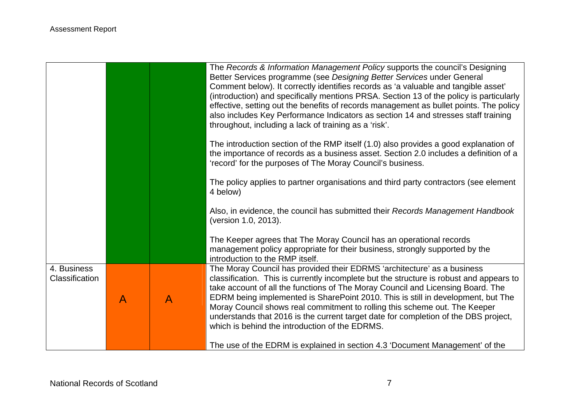|                               |   |              | The Records & Information Management Policy supports the council's Designing<br>Better Services programme (see Designing Better Services under General<br>Comment below). It correctly identifies records as 'a valuable and tangible asset'<br>(introduction) and specifically mentions PRSA. Section 13 of the policy is particularly<br>effective, setting out the benefits of records management as bullet points. The policy<br>also includes Key Performance Indicators as section 14 and stresses staff training<br>throughout, including a lack of training as a 'risk'. |
|-------------------------------|---|--------------|----------------------------------------------------------------------------------------------------------------------------------------------------------------------------------------------------------------------------------------------------------------------------------------------------------------------------------------------------------------------------------------------------------------------------------------------------------------------------------------------------------------------------------------------------------------------------------|
|                               |   |              | The introduction section of the RMP itself (1.0) also provides a good explanation of<br>the importance of records as a business asset. Section 2.0 includes a definition of a<br>'record' for the purposes of The Moray Council's business.                                                                                                                                                                                                                                                                                                                                      |
|                               |   |              | The policy applies to partner organisations and third party contractors (see element<br>4 below)                                                                                                                                                                                                                                                                                                                                                                                                                                                                                 |
|                               |   |              | Also, in evidence, the council has submitted their Records Management Handbook<br>(version 1.0, 2013).                                                                                                                                                                                                                                                                                                                                                                                                                                                                           |
|                               |   |              | The Keeper agrees that The Moray Council has an operational records<br>management policy appropriate for their business, strongly supported by the<br>introduction to the RMP itself.                                                                                                                                                                                                                                                                                                                                                                                            |
| 4. Business<br>Classification |   |              | The Moray Council has provided their EDRMS 'architecture' as a business<br>classification. This is currently incomplete but the structure is robust and appears to                                                                                                                                                                                                                                                                                                                                                                                                               |
|                               | A | $\mathsf{A}$ | take account of all the functions of The Moray Council and Licensing Board. The<br>EDRM being implemented is SharePoint 2010. This is still in development, but The<br>Moray Council shows real commitment to rolling this scheme out. The Keeper<br>understands that 2016 is the current target date for completion of the DBS project,<br>which is behind the introduction of the EDRMS.                                                                                                                                                                                       |
|                               |   |              | The use of the EDRM is explained in section 4.3 'Document Management' of the                                                                                                                                                                                                                                                                                                                                                                                                                                                                                                     |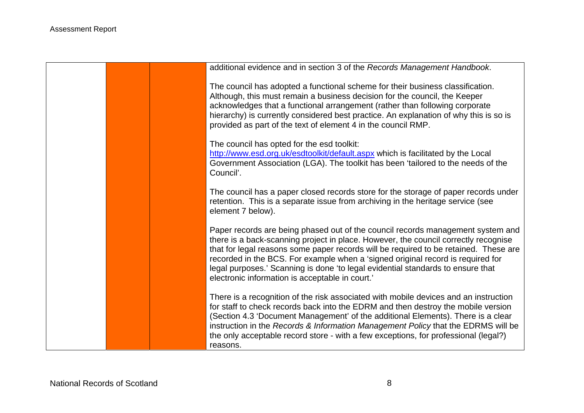| additional evidence and in section 3 of the Records Management Handbook.                                                                                                                                                                                                                                                                                                                                                                                                                |
|-----------------------------------------------------------------------------------------------------------------------------------------------------------------------------------------------------------------------------------------------------------------------------------------------------------------------------------------------------------------------------------------------------------------------------------------------------------------------------------------|
| The council has adopted a functional scheme for their business classification.<br>Although, this must remain a business decision for the council, the Keeper<br>acknowledges that a functional arrangement (rather than following corporate<br>hierarchy) is currently considered best practice. An explanation of why this is so is<br>provided as part of the text of element 4 in the council RMP.                                                                                   |
| The council has opted for the esd toolkit:<br>http://www.esd.org.uk/esdtoolkit/default.aspx which is facilitated by the Local<br>Government Association (LGA). The toolkit has been 'tailored to the needs of the<br>Council'.                                                                                                                                                                                                                                                          |
| The council has a paper closed records store for the storage of paper records under<br>retention. This is a separate issue from archiving in the heritage service (see<br>element 7 below).                                                                                                                                                                                                                                                                                             |
| Paper records are being phased out of the council records management system and<br>there is a back-scanning project in place. However, the council correctly recognise<br>that for legal reasons some paper records will be required to be retained. These are<br>recorded in the BCS. For example when a 'signed original record is required for<br>legal purposes.' Scanning is done 'to legal evidential standards to ensure that<br>electronic information is acceptable in court.' |
| There is a recognition of the risk associated with mobile devices and an instruction<br>for staff to check records back into the EDRM and then destroy the mobile version<br>(Section 4.3 'Document Management' of the additional Elements). There is a clear<br>instruction in the Records & Information Management Policy that the EDRMS will be<br>the only acceptable record store - with a few exceptions, for professional (legal?)<br>reasons.                                   |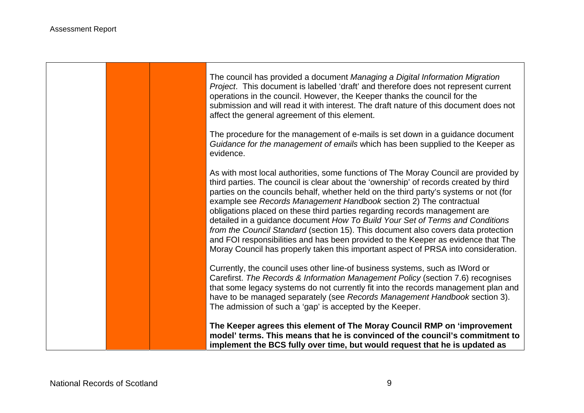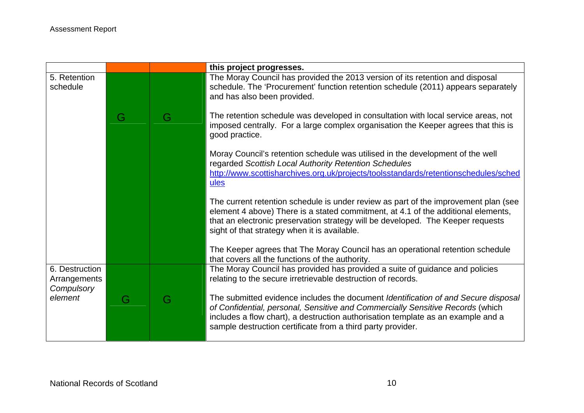|                                              |   |   | this project progresses.                                                                                                                                                                                                                                                                                                |
|----------------------------------------------|---|---|-------------------------------------------------------------------------------------------------------------------------------------------------------------------------------------------------------------------------------------------------------------------------------------------------------------------------|
| 5. Retention<br>schedule                     |   |   | The Moray Council has provided the 2013 version of its retention and disposal<br>schedule. The 'Procurement' function retention schedule (2011) appears separately<br>and has also been provided.                                                                                                                       |
|                                              | G | G | The retention schedule was developed in consultation with local service areas, not<br>imposed centrally. For a large complex organisation the Keeper agrees that this is<br>good practice.                                                                                                                              |
|                                              |   |   | Moray Council's retention schedule was utilised in the development of the well<br>regarded Scottish Local Authority Retention Schedules<br>http://www.scottisharchives.org.uk/projects/toolsstandards/retentionschedules/sched<br>ules                                                                                  |
|                                              |   |   | The current retention schedule is under review as part of the improvement plan (see<br>element 4 above) There is a stated commitment, at 4.1 of the additional elements,<br>that an electronic preservation strategy will be developed. The Keeper requests<br>sight of that strategy when it is available.             |
|                                              |   |   | The Keeper agrees that The Moray Council has an operational retention schedule<br>that covers all the functions of the authority.                                                                                                                                                                                       |
| 6. Destruction<br>Arrangements<br>Compulsory |   |   | The Moray Council has provided has provided a suite of guidance and policies<br>relating to the secure irretrievable destruction of records.                                                                                                                                                                            |
| element                                      | G | G | The submitted evidence includes the document Identification of and Secure disposal<br>of Confidential, personal, Sensitive and Commercially Sensitive Records (which<br>includes a flow chart), a destruction authorisation template as an example and a<br>sample destruction certificate from a third party provider. |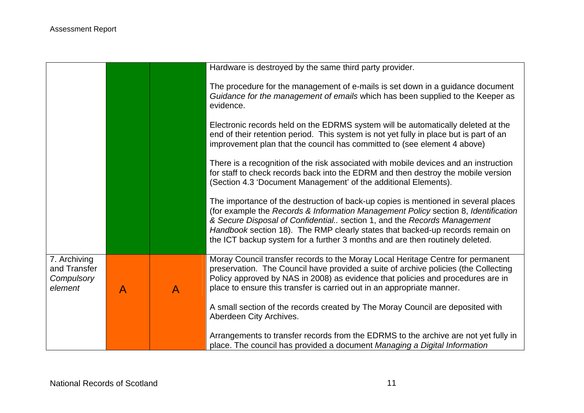|                                                       |              |              | Hardware is destroyed by the same third party provider.                                                                                                                                                                                                                                                                                                                                                              |
|-------------------------------------------------------|--------------|--------------|----------------------------------------------------------------------------------------------------------------------------------------------------------------------------------------------------------------------------------------------------------------------------------------------------------------------------------------------------------------------------------------------------------------------|
|                                                       |              |              | The procedure for the management of e-mails is set down in a guidance document<br>Guidance for the management of emails which has been supplied to the Keeper as<br>evidence.                                                                                                                                                                                                                                        |
|                                                       |              |              | Electronic records held on the EDRMS system will be automatically deleted at the<br>end of their retention period. This system is not yet fully in place but is part of an<br>improvement plan that the council has committed to (see element 4 above)                                                                                                                                                               |
|                                                       |              |              | There is a recognition of the risk associated with mobile devices and an instruction<br>for staff to check records back into the EDRM and then destroy the mobile version<br>(Section 4.3 'Document Management' of the additional Elements).                                                                                                                                                                         |
|                                                       |              |              | The importance of the destruction of back-up copies is mentioned in several places<br>(for example the Records & Information Management Policy section 8, Identification<br>& Secure Disposal of Confidential section 1, and the Records Management<br>Handbook section 18). The RMP clearly states that backed-up records remain on<br>the ICT backup system for a further 3 months and are then routinely deleted. |
| 7. Archiving<br>and Transfer<br>Compulsory<br>element | $\mathsf{A}$ | $\mathsf{A}$ | Moray Council transfer records to the Moray Local Heritage Centre for permanent<br>preservation. The Council have provided a suite of archive policies (the Collecting<br>Policy approved by NAS in 2008) as evidence that policies and procedures are in<br>place to ensure this transfer is carried out in an appropriate manner.                                                                                  |
|                                                       |              |              | A small section of the records created by The Moray Council are deposited with<br>Aberdeen City Archives.                                                                                                                                                                                                                                                                                                            |
|                                                       |              |              | Arrangements to transfer records from the EDRMS to the archive are not yet fully in<br>place. The council has provided a document Managing a Digital Information                                                                                                                                                                                                                                                     |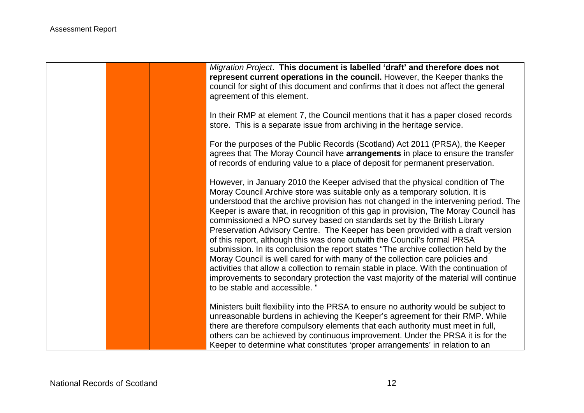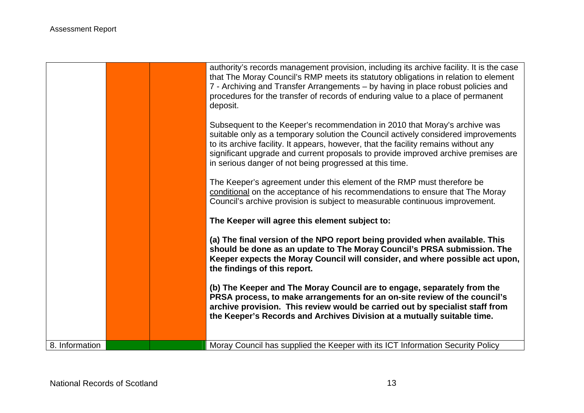|                |  | authority's records management provision, including its archive facility. It is the case<br>that The Moray Council's RMP meets its statutory obligations in relation to element<br>7 - Archiving and Transfer Arrangements - by having in place robust policies and<br>procedures for the transfer of records of enduring value to a place of permanent<br>deposit.<br>Subsequent to the Keeper's recommendation in 2010 that Moray's archive was<br>suitable only as a temporary solution the Council actively considered improvements<br>to its archive facility. It appears, however, that the facility remains without any<br>significant upgrade and current proposals to provide improved archive premises are<br>in serious danger of not being progressed at this time.<br>The Keeper's agreement under this element of the RMP must therefore be<br>conditional on the acceptance of his recommendations to ensure that The Moray<br>Council's archive provision is subject to measurable continuous improvement. |
|----------------|--|----------------------------------------------------------------------------------------------------------------------------------------------------------------------------------------------------------------------------------------------------------------------------------------------------------------------------------------------------------------------------------------------------------------------------------------------------------------------------------------------------------------------------------------------------------------------------------------------------------------------------------------------------------------------------------------------------------------------------------------------------------------------------------------------------------------------------------------------------------------------------------------------------------------------------------------------------------------------------------------------------------------------------|
|                |  | The Keeper will agree this element subject to:                                                                                                                                                                                                                                                                                                                                                                                                                                                                                                                                                                                                                                                                                                                                                                                                                                                                                                                                                                             |
|                |  | (a) The final version of the NPO report being provided when available. This<br>should be done as an update to The Moray Council's PRSA submission. The<br>Keeper expects the Moray Council will consider, and where possible act upon,<br>the findings of this report.                                                                                                                                                                                                                                                                                                                                                                                                                                                                                                                                                                                                                                                                                                                                                     |
|                |  | (b) The Keeper and The Moray Council are to engage, separately from the<br>PRSA process, to make arrangements for an on-site review of the council's<br>archive provision. This review would be carried out by specialist staff from<br>the Keeper's Records and Archives Division at a mutually suitable time.                                                                                                                                                                                                                                                                                                                                                                                                                                                                                                                                                                                                                                                                                                            |
| 8. Information |  | Moray Council has supplied the Keeper with its ICT Information Security Policy                                                                                                                                                                                                                                                                                                                                                                                                                                                                                                                                                                                                                                                                                                                                                                                                                                                                                                                                             |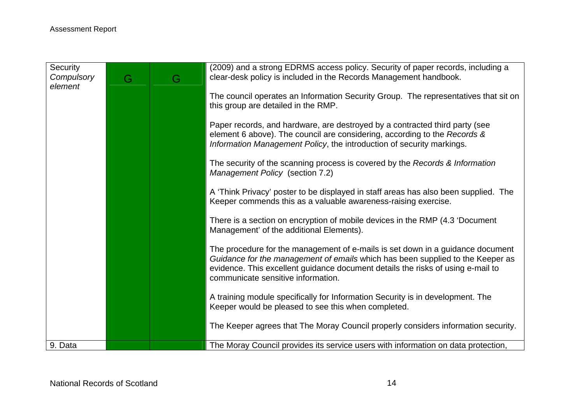| Security<br>Compulsory<br>element | G | G | (2009) and a strong EDRMS access policy. Security of paper records, including a<br>clear-desk policy is included in the Records Management handbook.                                                                                                                                      |
|-----------------------------------|---|---|-------------------------------------------------------------------------------------------------------------------------------------------------------------------------------------------------------------------------------------------------------------------------------------------|
|                                   |   |   | The council operates an Information Security Group. The representatives that sit on<br>this group are detailed in the RMP.                                                                                                                                                                |
|                                   |   |   | Paper records, and hardware, are destroyed by a contracted third party (see<br>element 6 above). The council are considering, according to the Records &<br>Information Management Policy, the introduction of security markings.                                                         |
|                                   |   |   | The security of the scanning process is covered by the Records & Information<br>Management Policy (section 7.2)                                                                                                                                                                           |
|                                   |   |   | A 'Think Privacy' poster to be displayed in staff areas has also been supplied. The<br>Keeper commends this as a valuable awareness-raising exercise.                                                                                                                                     |
|                                   |   |   | There is a section on encryption of mobile devices in the RMP (4.3 'Document<br>Management' of the additional Elements).                                                                                                                                                                  |
|                                   |   |   | The procedure for the management of e-mails is set down in a guidance document<br>Guidance for the management of emails which has been supplied to the Keeper as<br>evidence. This excellent guidance document details the risks of using e-mail to<br>communicate sensitive information. |
|                                   |   |   | A training module specifically for Information Security is in development. The<br>Keeper would be pleased to see this when completed.                                                                                                                                                     |
|                                   |   |   | The Keeper agrees that The Moray Council properly considers information security.                                                                                                                                                                                                         |
| 9. Data                           |   |   | The Moray Council provides its service users with information on data protection,                                                                                                                                                                                                         |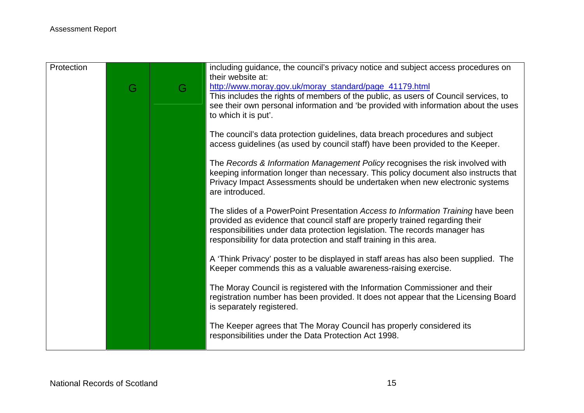| Protection |   |   | including guidance, the council's privacy notice and subject access procedures on<br>their website at: |
|------------|---|---|--------------------------------------------------------------------------------------------------------|
|            | G | G | http://www.moray.gov.uk/moray_standard/page_41179.html                                                 |
|            |   |   | This includes the rights of members of the public, as users of Council services, to                    |
|            |   |   | see their own personal information and 'be provided with information about the uses                    |
|            |   |   | to which it is put'.                                                                                   |
|            |   |   | The council's data protection guidelines, data breach procedures and subject                           |
|            |   |   | access guidelines (as used by council staff) have been provided to the Keeper.                         |
|            |   |   | The Records & Information Management Policy recognises the risk involved with                          |
|            |   |   | keeping information longer than necessary. This policy document also instructs that                    |
|            |   |   | Privacy Impact Assessments should be undertaken when new electronic systems                            |
|            |   |   | are introduced.                                                                                        |
|            |   |   | The slides of a PowerPoint Presentation Access to Information Training have been                       |
|            |   |   | provided as evidence that council staff are properly trained regarding their                           |
|            |   |   | responsibilities under data protection legislation. The records manager has                            |
|            |   |   | responsibility for data protection and staff training in this area.                                    |
|            |   |   | A 'Think Privacy' poster to be displayed in staff areas has also been supplied. The                    |
|            |   |   | Keeper commends this as a valuable awareness-raising exercise.                                         |
|            |   |   | The Moray Council is registered with the Information Commissioner and their                            |
|            |   |   | registration number has been provided. It does not appear that the Licensing Board                     |
|            |   |   | is separately registered.                                                                              |
|            |   |   | The Keeper agrees that The Moray Council has properly considered its                                   |
|            |   |   | responsibilities under the Data Protection Act 1998.                                                   |
|            |   |   |                                                                                                        |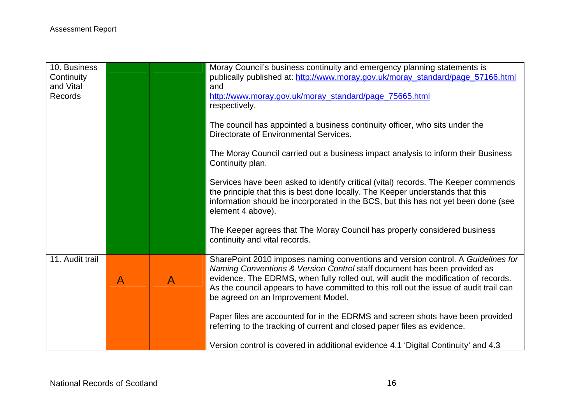| 10. Business<br>Continuity<br>and Vital<br><b>Records</b> |              |              | Moray Council's business continuity and emergency planning statements is<br>publically published at: http://www.moray.gov.uk/moray_standard/page_57166.html<br>and<br>http://www.moray.gov.uk/moray_standard/page_75665.html<br>respectively.                                                                                                                                       |
|-----------------------------------------------------------|--------------|--------------|-------------------------------------------------------------------------------------------------------------------------------------------------------------------------------------------------------------------------------------------------------------------------------------------------------------------------------------------------------------------------------------|
|                                                           |              |              | The council has appointed a business continuity officer, who sits under the<br>Directorate of Environmental Services.                                                                                                                                                                                                                                                               |
|                                                           |              |              | The Moray Council carried out a business impact analysis to inform their Business<br>Continuity plan.                                                                                                                                                                                                                                                                               |
|                                                           |              |              | Services have been asked to identify critical (vital) records. The Keeper commends<br>the principle that this is best done locally. The Keeper understands that this<br>information should be incorporated in the BCS, but this has not yet been done (see<br>element 4 above).                                                                                                     |
|                                                           |              |              | The Keeper agrees that The Moray Council has properly considered business<br>continuity and vital records.                                                                                                                                                                                                                                                                          |
| 11. Audit trail                                           | $\mathsf{A}$ | $\mathsf{A}$ | SharePoint 2010 imposes naming conventions and version control. A Guidelines for<br>Naming Conventions & Version Control staff document has been provided as<br>evidence. The EDRMS, when fully rolled out, will audit the modification of records.<br>As the council appears to have committed to this roll out the issue of audit trail can<br>be agreed on an Improvement Model. |
|                                                           |              |              | Paper files are accounted for in the EDRMS and screen shots have been provided<br>referring to the tracking of current and closed paper files as evidence.                                                                                                                                                                                                                          |
|                                                           |              |              | Version control is covered in additional evidence 4.1 'Digital Continuity' and 4.3                                                                                                                                                                                                                                                                                                  |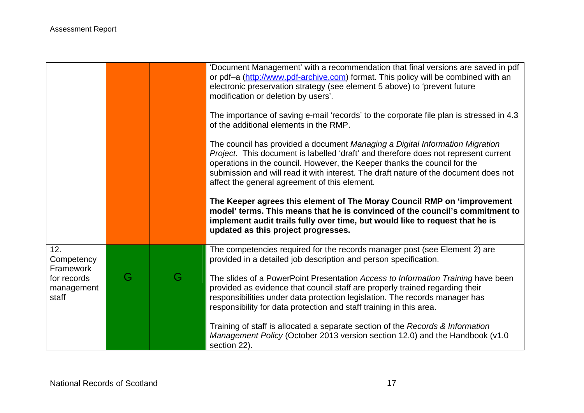|                                    |   |   | 'Document Management' with a recommendation that final versions are saved in pdf<br>or pdf-a (http://www.pdf-archive.com) format. This policy will be combined with an<br>electronic preservation strategy (see element 5 above) to 'prevent future<br>modification or deletion by users'.                                                                                                |
|------------------------------------|---|---|-------------------------------------------------------------------------------------------------------------------------------------------------------------------------------------------------------------------------------------------------------------------------------------------------------------------------------------------------------------------------------------------|
|                                    |   |   | The importance of saving e-mail 'records' to the corporate file plan is stressed in 4.3<br>of the additional elements in the RMP.                                                                                                                                                                                                                                                         |
|                                    |   |   | The council has provided a document Managing a Digital Information Migration<br>Project. This document is labelled 'draft' and therefore does not represent current<br>operations in the council. However, the Keeper thanks the council for the<br>submission and will read it with interest. The draft nature of the document does not<br>affect the general agreement of this element. |
|                                    |   |   | The Keeper agrees this element of The Moray Council RMP on 'improvement<br>model' terms. This means that he is convinced of the council's commitment to<br>implement audit trails fully over time, but would like to request that he is<br>updated as this project progresses.                                                                                                            |
| 12.<br>Competency<br>Framework     |   |   | The competencies required for the records manager post (see Element 2) are<br>provided in a detailed job description and person specification.                                                                                                                                                                                                                                            |
| for records<br>management<br>staff | G | G | The slides of a PowerPoint Presentation Access to Information Training have been<br>provided as evidence that council staff are properly trained regarding their<br>responsibilities under data protection legislation. The records manager has<br>responsibility for data protection and staff training in this area.                                                                    |
|                                    |   |   | Training of staff is allocated a separate section of the Records & Information<br>Management Policy (October 2013 version section 12.0) and the Handbook (v1.0<br>section 22).                                                                                                                                                                                                            |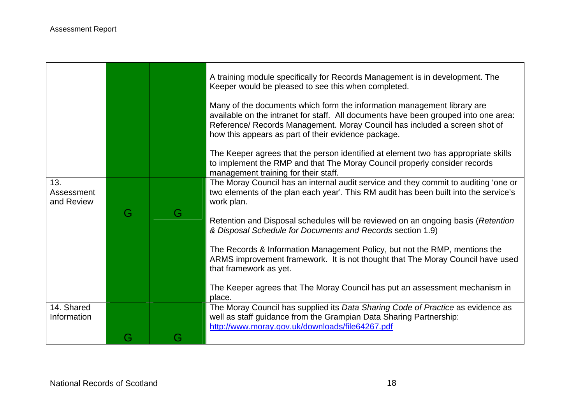$\Gamma$ 

|                                 |     |   | A training module specifically for Records Management is in development. The<br>Keeper would be pleased to see this when completed.                                                                                                                                                                 |
|---------------------------------|-----|---|-----------------------------------------------------------------------------------------------------------------------------------------------------------------------------------------------------------------------------------------------------------------------------------------------------|
|                                 |     |   | Many of the documents which form the information management library are<br>available on the intranet for staff. All documents have been grouped into one area:<br>Reference/ Records Management. Moray Council has included a screen shot of<br>how this appears as part of their evidence package. |
|                                 |     |   | The Keeper agrees that the person identified at element two has appropriate skills<br>to implement the RMP and that The Moray Council properly consider records<br>management training for their staff.                                                                                             |
| 13.<br>Assessment<br>and Review |     |   | The Moray Council has an internal audit service and they commit to auditing 'one or<br>two elements of the plan each year'. This RM audit has been built into the service's<br>work plan.                                                                                                           |
|                                 | G   | G | Retention and Disposal schedules will be reviewed on an ongoing basis (Retention<br>& Disposal Schedule for Documents and Records section 1.9)                                                                                                                                                      |
|                                 |     |   | The Records & Information Management Policy, but not the RMP, mentions the<br>ARMS improvement framework. It is not thought that The Moray Council have used<br>that framework as yet.                                                                                                              |
|                                 |     |   | The Keeper agrees that The Moray Council has put an assessment mechanism in<br>place.                                                                                                                                                                                                               |
| 14. Shared<br>Information       |     |   | The Moray Council has supplied its Data Sharing Code of Practice as evidence as<br>well as staff guidance from the Grampian Data Sharing Partnership:<br>http://www.moray.gov.uk/downloads/file64267.pdf                                                                                            |
|                                 | G – | G |                                                                                                                                                                                                                                                                                                     |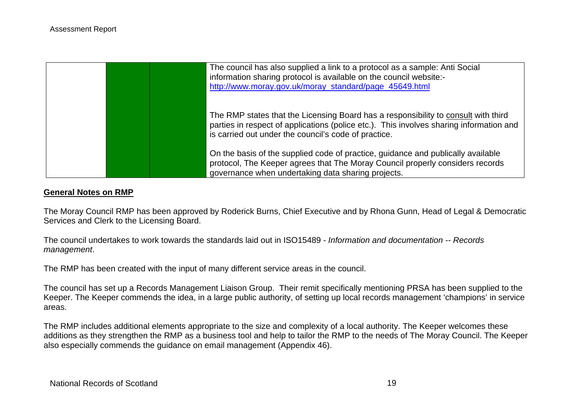

#### **General Notes on RMP**

The Moray Council RMP has been approved by Roderick Burns, Chief Executive and by Rhona Gunn, Head of Legal & Democratic Services and Clerk to the Licensing Board.

The council undertakes to work towards the standards laid out in ISO15489 - *Information and documentation -- Records management*.

The RMP has been created with the input of many different service areas in the council.

The council has set up a Records Management Liaison Group. Their remit specifically mentioning PRSA has been supplied to the Keeper. The Keeper commends the idea, in a large public authority, of setting up local records management 'champions' in service areas.

The RMP includes additional elements appropriate to the size and complexity of a local authority. The Keeper welcomes these additions as they strengthen the RMP as a business tool and help to tailor the RMP to the needs of The Moray Council. The Keeper also especially commends the guidance on email management (Appendix 46).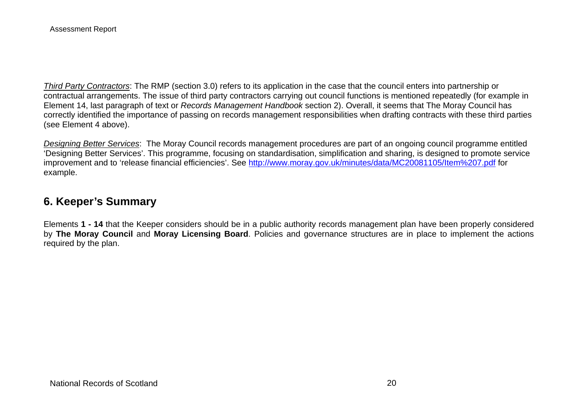*Third Party Contractors*: The RMP (section 3.0) refers to its application in the case that the council enters into partnership or contractual arrangements. The issue of third party contractors carrying out council functions is mentioned repeatedly (for example in Element 14, last paragraph of text or *Records Management Handbook* section 2). Overall, it seems that The Moray Council has correctly identified the importance of passing on records management responsibilities when drafting contracts with these third parties (see Element 4 above).

*Designing Better Services*: The Moray Council records management procedures are part of an ongoing council programme entitled 'Designing Better Services'. This programme, focusing on standardisation, simplification and sharing, is designed to promote service improvement and to 'release financial efficiencies'. See<http://www.moray.gov.uk/minutes/data/MC20081105/Item%207.pdf>for example.

# **6. Keeper's Summary**

Elements **1 - 14** that the Keeper considers should be in a public authority records management plan have been properly considered by **The Moray Council** and **Moray Licensing Board**. Policies and governance structures are in place to implement the actions required by the plan.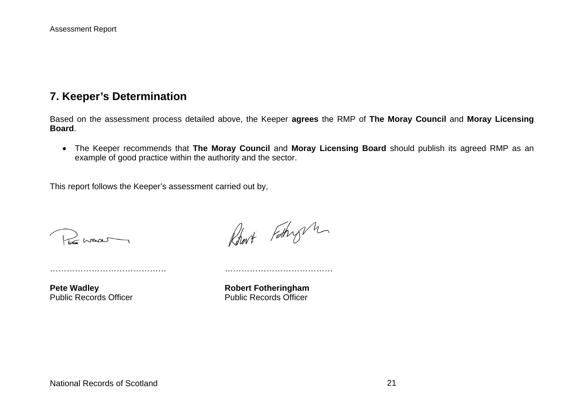## **7. Keeper's Determination**

Based on the assessment process detailed above, the Keeper **agrees** the RMP of **The Moray Council** and **Moray Licensing Board**.

 The Keeper recommends that **The Moray Council** and **Moray Licensing Board** should publish its agreed RMP as an example of good practice within the authority and the sector.

This report follows the Keeper's assessment carried out by,

…………………………………… …………………………………

Remar

Robert Fathry m

Pete Wadley **Robert Fotheringham** Public Records Officer **Public Records Officer** Public Records Officer